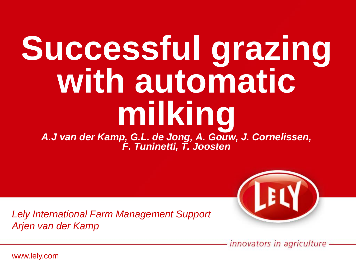# **Successful grazing with automatic milking**

*A.J van der Kamp, G.L. de Jong, A. Gouw, J. Cornelissen, F. Tuninetti, T. Joosten*



*Lely International Farm Management Support Arjen van der Kamp*

innovators in agriculture

www.lely.com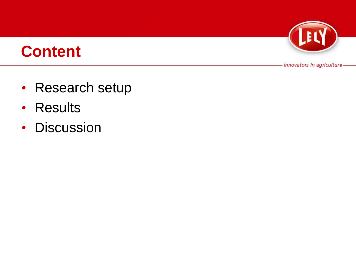

# **Content**

- Research setup
- Results
- Discussion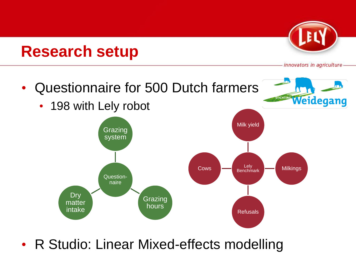# **Research setup**



innovators in agriculture



• R Studio: Linear Mixed-effects modelling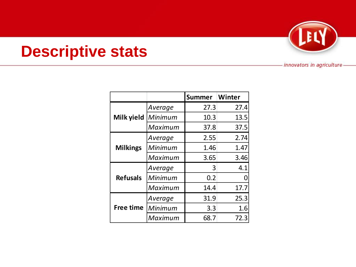

# **Descriptive stats**

|                 |         | <b>Summer</b> | Winter |
|-----------------|---------|---------------|--------|
| Milk yield      | Average | 27.3          | 27.4   |
|                 | Minimum | 10.3          | 13.5   |
|                 | Maximum | 37.8          | 37.5   |
| <b>Milkings</b> | Average | 2.55          | 2.74   |
|                 | Minimum | 1.46          | 1.47   |
|                 | Maximum | 3.65          | 3.46   |
| <b>Refusals</b> | Average | 3             | 4.1    |
|                 | Minimum | 0.2           |        |
|                 | Maximum | 14.4          | 17.7   |
| Free time       | Average | 31.9          | 25.3   |
|                 | Minimum | 3.3           | 1.6    |
|                 | Maximum | 68.7          | 72.3   |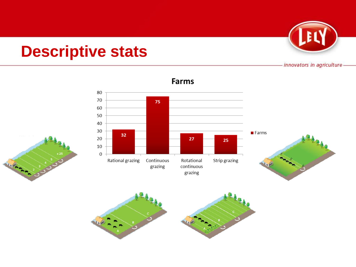# **Descriptive stats**

innovators in agriculture



#### **Farms**



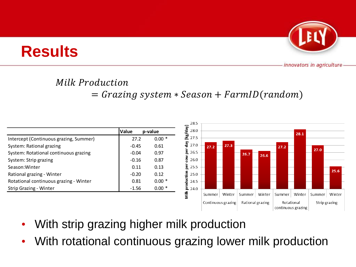#### **Milk Production**

**Results**

 $=$   $Grazing$  system  $*$  Season  $+$   $FarmID(random)$ 

|                                        | Value   | p-value | day]<br>28.0   |                    |        |                  |        |                                  | 28.1   |               |        |
|----------------------------------------|---------|---------|----------------|--------------------|--------|------------------|--------|----------------------------------|--------|---------------|--------|
| Intercept (Continuous grazing, Summer) | 27.2    | $0.00*$ | 図<br>27.5      |                    |        |                  |        |                                  |        |               |        |
| System: Rational grazing               | $-0.45$ | 0.61    | ξã<br>27.0     | 27.2               | 27.3   |                  |        | 27.2                             |        | 27.0          |        |
| System: Rotational continuous grazing  | $-0.04$ | 0.97    | 힖<br>26.5      |                    |        | 26.7             | 26.6   |                                  |        |               |        |
| System: Strip grazing                  | $-0.16$ | 0.87    | ξ<br>26.0      |                    |        |                  |        |                                  |        |               |        |
| Season: Winter                         | 0.11    | 0.13    | 힖<br>25.5      |                    |        |                  |        |                                  |        |               |        |
| Rational grazing - Winter              | $-0.20$ | 0.12    | .<br>현<br>25.0 |                    |        |                  |        |                                  |        |               | 25.6   |
| Rotational continuous grazing - Winter | 0.81    | $0.00*$ | ā<br>24.5      |                    |        |                  |        |                                  |        |               |        |
| Strip Grazing - Winter                 | $-1.56$ | $0.00*$ | ՟<br>24.0      |                    |        |                  |        |                                  |        |               |        |
|                                        |         |         | ≣≊             | Summer             | Winter | Summer           | Winter | Summer                           | Winter | Summer        | Winter |
|                                        |         |         |                | Continuous grazing |        | Rational grazing |        | Rotational<br>continuous grazing |        | Strip grazing |        |

- With strip grazing higher milk production
- With rotational continuous grazing lower milk production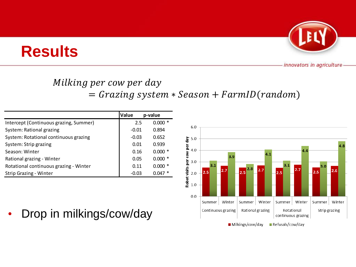

## Milking per cow per day

 $=$   $Grazing$  system  $*$   $Season + FarmID(random)$ 

|                                        | Value   | p-value  |
|----------------------------------------|---------|----------|
| Intercept (Continuous grazing, Summer) | 2.5     | $0.000*$ |
| System: Rational grazing               | $-0.01$ | 0.894    |
| System: Rotational continuous grazing  | $-0.03$ | 0.652    |
| System: Strip grazing                  | 0.01    | 0.939    |
| Season: Winter                         | 0.16    | $0.000*$ |
| Rational grazing - Winter              | 0.05    | $0.000*$ |
| Rotational continuous grazing - Winter | 0.11    | $0.000*$ |
| Strip Grazing - Winter                 | $-0.03$ | $0.047*$ |

**Results**



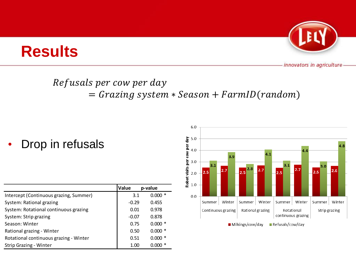# **Results**



innovators in agriculture

### Refusals per cow per day

### $=$   $Grazing$  system  $*$   $Season + FarmID(random)$

Drop in refusals

|                                        | Value   | p-value  |
|----------------------------------------|---------|----------|
| Intercept (Continuous grazing, Summer) | 3.1     | $0.000*$ |
| System: Rational grazing               | $-0.29$ | 0.455    |
| System: Rotational continuous grazing  | 0.01    | 0.978    |
| System: Strip grazing                  | $-0.07$ | 0.878    |
| Season: Winter                         | 0.75    | $0.000*$ |
| Rational grazing - Winter              | 0.50    | $0.000*$ |
| Rotational continuous grazing - Winter | 0.51    | $0.000*$ |
| Strip Grazing - Winter                 | 1.00    | $0.000*$ |

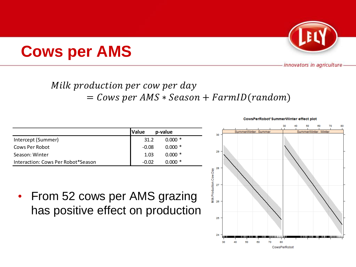

### Milk production per cow per day  $=$  Cows per AMS  $*$  Season  $+$  FarmID(random)

|                                    | <b>Value</b><br>p-value |          |  |
|------------------------------------|-------------------------|----------|--|
| Intercept (Summer)                 | 31.2                    | $0.000*$ |  |
| Cows Per Robot                     | -0.08                   | $0.000*$ |  |
| Season: Winter                     | 1.03                    | $0.000*$ |  |
| Interaction: Cows Per Robot*Season | -0.02                   | റ റററ    |  |

**Cows per AMS**

• From 52 cows per AMS grazing has positive effect on production

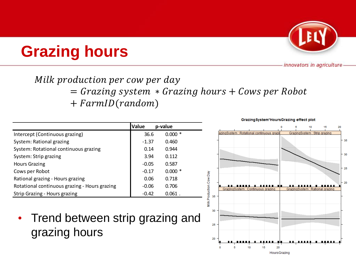

#### Milk production per cow per day  $=$   $Grazing\ system * Grazing\ hours + Cows\ per\ Robot$  $+ FarmID (random)$

|                                               | Value   | p-value   |
|-----------------------------------------------|---------|-----------|
| Intercept (Continuous grazing)                | 36.6    | $0.000*$  |
| System: Rational grazing                      | $-1.37$ | 0.460     |
| System: Rotational continuous grazing         | 0.14    | 0.944     |
| System: Strip grazing                         | 3.94    | 0.112     |
| <b>Hours Grazing</b>                          | $-0.05$ | 0.587     |
| Cows per Robot                                | $-0.17$ | $0.000*$  |
| Rational grazing - Hours grazing              | 0.06    | 0.718     |
| Rotational continuous grazing - Hours grazing | $-0.06$ | 0.706     |
| Strip Grazing - Hours grazing                 | $-0.42$ | $0.061$ . |

**Grazing hours**

• Trend between strip grazing and grazing hours

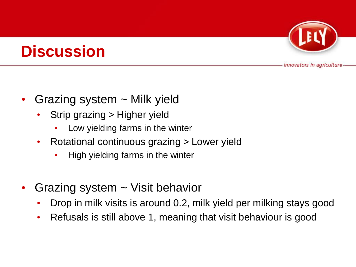## **Discussion**

- Grazing system  $\sim$  Milk yield
	- Strip grazing > Higher yield
		- Low yielding farms in the winter
	- Rotational continuous grazing > Lower yield
		- High yielding farms in the winter
- Grazing system ~ Visit behavior
	- Drop in milk visits is around 0.2, milk yield per milking stays good
	- Refusals is still above 1, meaning that visit behaviour is good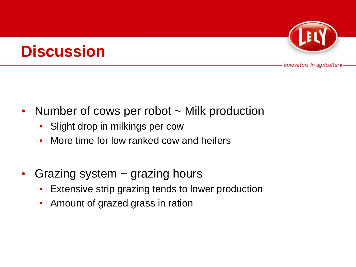# **Discussion**



- Number of cows per robot ~ Milk production
	- Slight drop in milkings per cow
	- More time for low ranked cow and heifers
- Grazing system  $\sim$  grazing hours
	- Extensive strip grazing tends to lower production
	- Amount of grazed grass in ration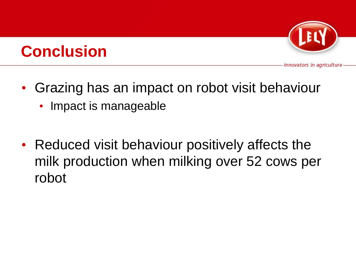

# **Conclusion**

- Grazing has an impact on robot visit behaviour
	- Impact is manageable
- Reduced visit behaviour positively affects the milk production when milking over 52 cows per robot